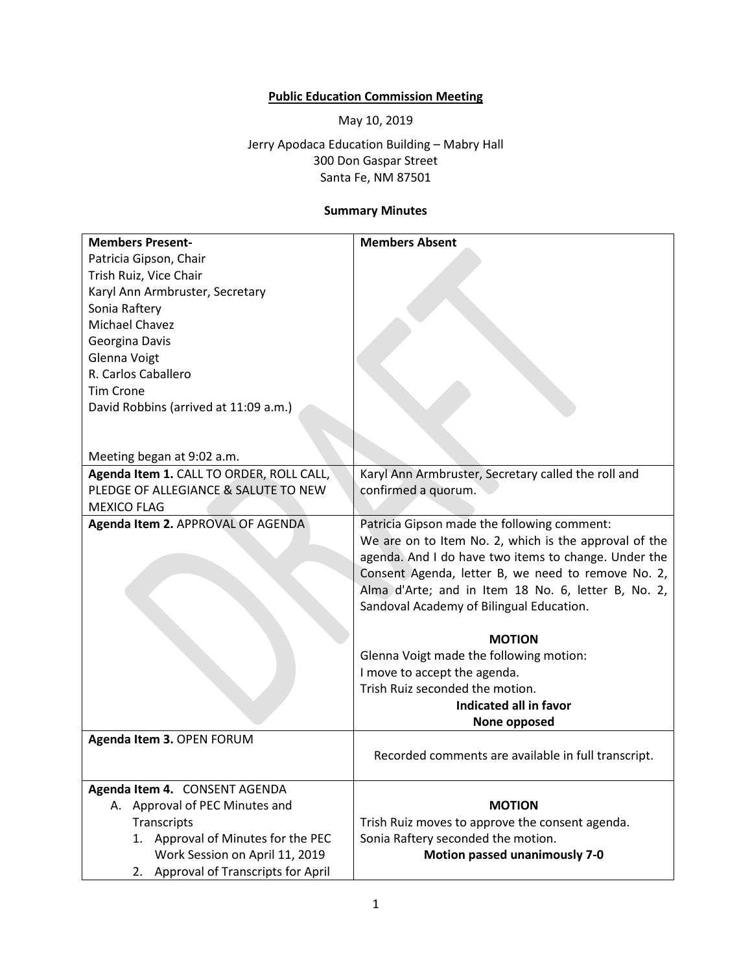## **Public Education Commission Meeting**

May 10, 2019

Jerry Apodaca Education Building – Mabry Hall 300 Don Gaspar Street Santa Fe, NM 87501

## **Summary Minutes**

| <b>Members Present-</b>                  | <b>Members Absent</b>                                 |
|------------------------------------------|-------------------------------------------------------|
| Patricia Gipson, Chair                   |                                                       |
| Trish Ruiz, Vice Chair                   |                                                       |
| Karyl Ann Armbruster, Secretary          |                                                       |
| Sonia Raftery                            |                                                       |
| Michael Chavez                           |                                                       |
| Georgina Davis                           |                                                       |
| Glenna Voigt                             |                                                       |
| R. Carlos Caballero                      |                                                       |
| <b>Tim Crone</b>                         |                                                       |
| David Robbins (arrived at 11:09 a.m.)    |                                                       |
|                                          |                                                       |
|                                          |                                                       |
| Meeting began at 9:02 a.m.               |                                                       |
| Agenda Item 1. CALL TO ORDER, ROLL CALL, | Karyl Ann Armbruster, Secretary called the roll and   |
| PLEDGE OF ALLEGIANCE & SALUTE TO NEW     | confirmed a quorum.                                   |
| <b>MEXICO FLAG</b>                       |                                                       |
| Agenda Item 2. APPROVAL OF AGENDA        | Patricia Gipson made the following comment:           |
|                                          | We are on to Item No. 2, which is the approval of the |
|                                          | agenda. And I do have two items to change. Under the  |
|                                          | Consent Agenda, letter B, we need to remove No. 2,    |
|                                          | Alma d'Arte; and in Item 18 No. 6, letter B, No. 2,   |
|                                          | Sandoval Academy of Bilingual Education.              |
|                                          |                                                       |
|                                          | <b>MOTION</b>                                         |
|                                          | Glenna Voigt made the following motion:               |
|                                          | I move to accept the agenda.                          |
|                                          | Trish Ruiz seconded the motion.                       |
|                                          | Indicated all in favor                                |
|                                          | None opposed                                          |
| Agenda Item 3. OPEN FORUM                |                                                       |
|                                          | Recorded comments are available in full transcript.   |
|                                          |                                                       |
| Agenda Item 4. CONSENT AGENDA            |                                                       |
| A. Approval of PEC Minutes and           | <b>MOTION</b>                                         |
| Transcripts                              | Trish Ruiz moves to approve the consent agenda.       |
| 1. Approval of Minutes for the PEC       | Sonia Raftery seconded the motion.                    |
| Work Session on April 11, 2019           | <b>Motion passed unanimously 7-0</b>                  |
| Approval of Transcripts for April<br>2.  |                                                       |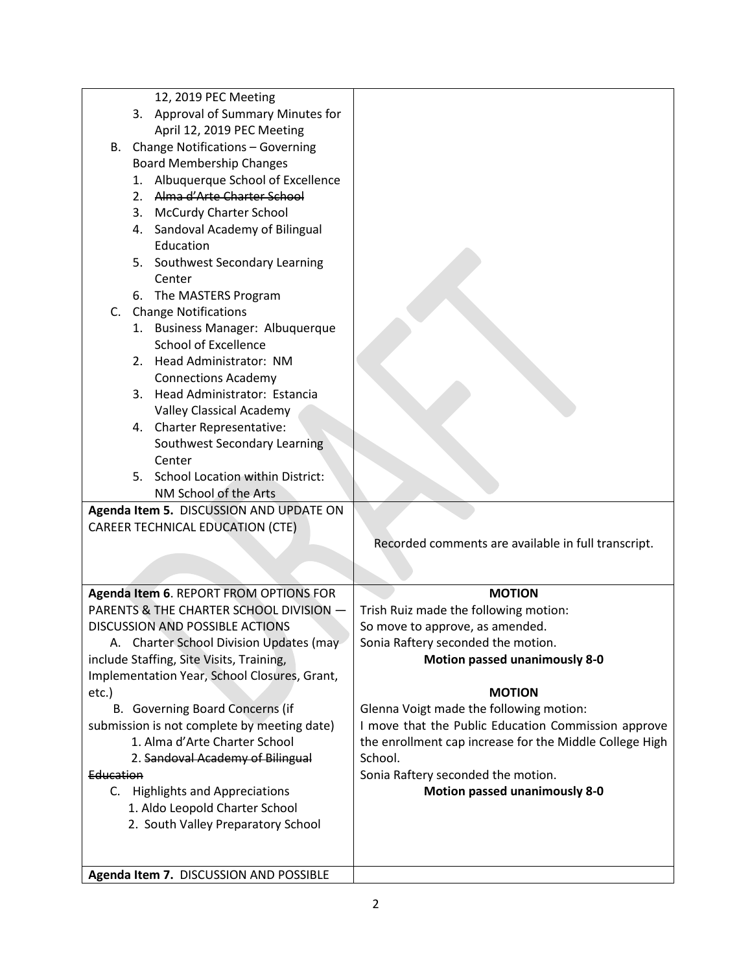|                                             |    | 12, 2019 PEC Meeting                         |                                                         |
|---------------------------------------------|----|----------------------------------------------|---------------------------------------------------------|
|                                             |    | 3. Approval of Summary Minutes for           |                                                         |
|                                             |    | April 12, 2019 PEC Meeting                   |                                                         |
|                                             |    | B. Change Notifications - Governing          |                                                         |
|                                             |    | <b>Board Membership Changes</b>              |                                                         |
|                                             |    |                                              |                                                         |
|                                             | 1. | Albuquerque School of Excellence             |                                                         |
|                                             |    | 2. Alma d'Arte Charter School                |                                                         |
|                                             |    | 3. McCurdy Charter School                    |                                                         |
|                                             |    | 4. Sandoval Academy of Bilingual             |                                                         |
|                                             |    | Education                                    |                                                         |
|                                             |    | 5. Southwest Secondary Learning              |                                                         |
|                                             |    | Center                                       |                                                         |
|                                             |    | 6. The MASTERS Program                       |                                                         |
| C.                                          |    | <b>Change Notifications</b>                  |                                                         |
|                                             |    | 1. Business Manager: Albuquerque             |                                                         |
|                                             |    | <b>School of Excellence</b>                  |                                                         |
|                                             |    | 2. Head Administrator: NM                    |                                                         |
|                                             |    | <b>Connections Academy</b>                   |                                                         |
|                                             |    | 3. Head Administrator: Estancia              |                                                         |
|                                             |    | <b>Valley Classical Academy</b>              |                                                         |
|                                             |    | 4. Charter Representative:                   |                                                         |
|                                             |    | Southwest Secondary Learning                 |                                                         |
|                                             |    | Center                                       |                                                         |
|                                             |    | 5. School Location within District:          |                                                         |
|                                             |    | NM School of the Arts                        |                                                         |
|                                             |    | Agenda Item 5. DISCUSSION AND UPDATE ON      |                                                         |
|                                             |    | <b>CAREER TECHNICAL EDUCATION (CTE)</b>      |                                                         |
|                                             |    |                                              | Recorded comments are available in full transcript.     |
|                                             |    |                                              |                                                         |
|                                             |    |                                              |                                                         |
|                                             |    | Agenda Item 6. REPORT FROM OPTIONS FOR       | <b>MOTION</b>                                           |
|                                             |    | PARENTS & THE CHARTER SCHOOL DIVISION -      | Trish Ruiz made the following motion:                   |
| <b>DISCUSSION AND POSSIBLE ACTIONS</b>      |    |                                              | So move to approve, as amended.                         |
| A. Charter School Division Updates (may     |    |                                              | Sonia Raftery seconded the motion.                      |
|                                             |    |                                              |                                                         |
| include Staffing, Site Visits, Training,    |    |                                              | <b>Motion passed unanimously 8-0</b>                    |
|                                             |    | Implementation Year, School Closures, Grant, |                                                         |
| etc.)                                       |    |                                              | <b>MOTION</b>                                           |
| B. Governing Board Concerns (if             |    |                                              | Glenna Voigt made the following motion:                 |
| submission is not complete by meeting date) |    |                                              | I move that the Public Education Commission approve     |
| 1. Alma d'Arte Charter School               |    |                                              | the enrollment cap increase for the Middle College High |
| 2. Sandoval Academy of Bilingual            |    |                                              | School.                                                 |
| Education                                   |    |                                              | Sonia Raftery seconded the motion.                      |
| C. Highlights and Appreciations             |    |                                              | <b>Motion passed unanimously 8-0</b>                    |
| 1. Aldo Leopold Charter School              |    |                                              |                                                         |
| 2. South Valley Preparatory School          |    |                                              |                                                         |
|                                             |    |                                              |                                                         |
|                                             |    |                                              |                                                         |
|                                             |    | Agenda Item 7. DISCUSSION AND POSSIBLE       |                                                         |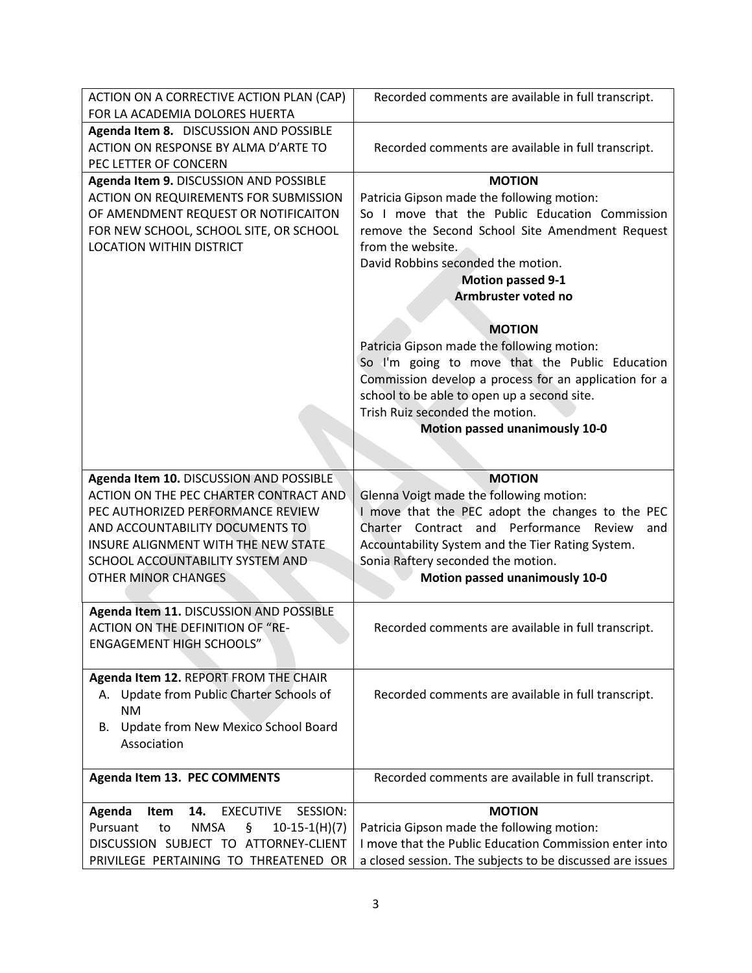| ACTION ON A CORRECTIVE ACTION PLAN (CAP)                        | Recorded comments are available in full transcript.       |
|-----------------------------------------------------------------|-----------------------------------------------------------|
| FOR LA ACADEMIA DOLORES HUERTA                                  |                                                           |
| Agenda Item 8. DISCUSSION AND POSSIBLE                          |                                                           |
| ACTION ON RESPONSE BY ALMA D'ARTE TO                            | Recorded comments are available in full transcript.       |
| PEC LETTER OF CONCERN                                           |                                                           |
| Agenda Item 9. DISCUSSION AND POSSIBLE                          | <b>MOTION</b>                                             |
| <b>ACTION ON REQUIREMENTS FOR SUBMISSION</b>                    | Patricia Gipson made the following motion:                |
| OF AMENDMENT REQUEST OR NOTIFICAITON                            | So I move that the Public Education Commission            |
| FOR NEW SCHOOL, SCHOOL SITE, OR SCHOOL                          | remove the Second School Site Amendment Request           |
| <b>LOCATION WITHIN DISTRICT</b>                                 | from the website.                                         |
|                                                                 | David Robbins seconded the motion.                        |
|                                                                 | <b>Motion passed 9-1</b>                                  |
|                                                                 | Armbruster voted no                                       |
|                                                                 |                                                           |
|                                                                 | <b>MOTION</b>                                             |
|                                                                 | Patricia Gipson made the following motion:                |
|                                                                 | So I'm going to move that the Public Education            |
|                                                                 | Commission develop a process for an application for a     |
|                                                                 | school to be able to open up a second site.               |
|                                                                 | Trish Ruiz seconded the motion.                           |
|                                                                 | <b>Motion passed unanimously 10-0</b>                     |
|                                                                 |                                                           |
|                                                                 |                                                           |
| Agenda Item 10. DISCUSSION AND POSSIBLE                         | <b>MOTION</b>                                             |
| ACTION ON THE PEC CHARTER CONTRACT AND                          | Glenna Voigt made the following motion:                   |
| PEC AUTHORIZED PERFORMANCE REVIEW                               | I move that the PEC adopt the changes to the PEC          |
| AND ACCOUNTABILITY DOCUMENTS TO                                 | Charter Contract and Performance Review<br>and            |
| INSURE ALIGNMENT WITH THE NEW STATE                             | Accountability System and the Tier Rating System.         |
| SCHOOL ACCOUNTABILITY SYSTEM AND                                | Sonia Raftery seconded the motion.                        |
| <b>OTHER MINOR CHANGES</b>                                      | <b>Motion passed unanimously 10-0</b>                     |
|                                                                 |                                                           |
| Agenda Item 11. DISCUSSION AND POSSIBLE                         |                                                           |
| <b>ACTION ON THE DEFINITION OF "RE-</b>                         | Recorded comments are available in full transcript.       |
| <b>ENGAGEMENT HIGH SCHOOLS"</b>                                 |                                                           |
|                                                                 |                                                           |
| Agenda Item 12. REPORT FROM THE CHAIR                           |                                                           |
| A. Update from Public Charter Schools of                        | Recorded comments are available in full transcript.       |
| <b>NM</b>                                                       |                                                           |
| Update from New Mexico School Board<br>В.                       |                                                           |
| Association                                                     |                                                           |
|                                                                 |                                                           |
| Agenda Item 13. PEC COMMENTS                                    | Recorded comments are available in full transcript.       |
| SESSION:<br><b>EXECUTIVE</b><br>Item<br>14.                     | <b>MOTION</b>                                             |
| Agenda<br>Pursuant<br><b>NMSA</b><br>ş<br>$10-15-1(H)(7)$<br>to | Patricia Gipson made the following motion:                |
| DISCUSSION SUBJECT TO ATTORNEY-CLIENT                           | I move that the Public Education Commission enter into    |
| PRIVILEGE PERTAINING TO THREATENED OR                           | a closed session. The subjects to be discussed are issues |
|                                                                 |                                                           |